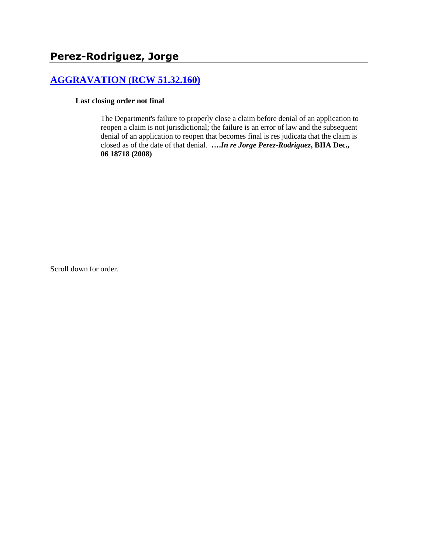# **[AGGRAVATION \(RCW 51.32.160\)](http://www.biia.wa.gov/SDSubjectIndex.html#AGGRAVATION)**

## **Last closing order not final**

The Department's failure to properly close a claim before denial of an application to reopen a claim is not jurisdictional; the failure is an error of law and the subsequent denial of an application to reopen that becomes final is res judicata that the claim is closed as of the date of that denial. **….***In re Jorge Perez-Rodriguez***, BIIA Dec., 06 18718 (2008)**

Scroll down for order.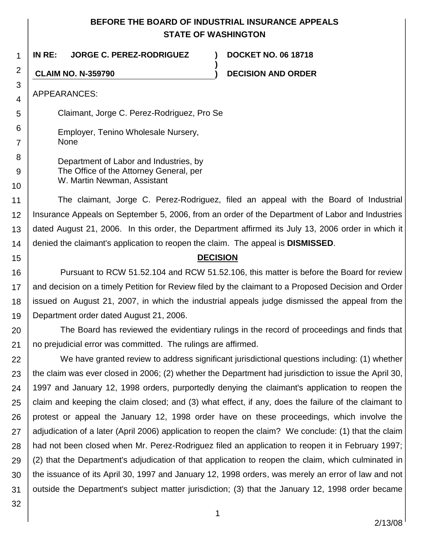# **BEFORE THE BOARD OF INDUSTRIAL INSURANCE APPEALS STATE OF WASHINGTON**

**)**

**IN RE: JORGE C. PEREZ-RODRIGUEZ ) DOCKET NO. 06 18718**

**CLAIM NO. N-359790 ) DECISION AND ORDER**

APPEARANCES:

1

2

3 4

5

6

7

8 9

10

15

Claimant, Jorge C. Perez-Rodriguez, Pro Se

Employer, Tenino Wholesale Nursery, None

Department of Labor and Industries, by The Office of the Attorney General, per W. Martin Newman, Assistant

11 12 13 14 The claimant, Jorge C. Perez-Rodriguez, filed an appeal with the Board of Industrial Insurance Appeals on September 5, 2006, from an order of the Department of Labor and Industries dated August 21, 2006. In this order, the Department affirmed its July 13, 2006 order in which it denied the claimant's application to reopen the claim. The appeal is **DISMISSED**.

# **DECISION**

16 17 18 19 Pursuant to RCW 51.52.104 and RCW 51.52.106, this matter is before the Board for review and decision on a timely Petition for Review filed by the claimant to a Proposed Decision and Order issued on August 21, 2007, in which the industrial appeals judge dismissed the appeal from the Department order dated August 21, 2006.

20 21 The Board has reviewed the evidentiary rulings in the record of proceedings and finds that no prejudicial error was committed. The rulings are affirmed.

22 23 24 25 26 27 28 29 30 31 We have granted review to address significant jurisdictional questions including: (1) whether the claim was ever closed in 2006; (2) whether the Department had jurisdiction to issue the April 30, 1997 and January 12, 1998 orders, purportedly denying the claimant's application to reopen the claim and keeping the claim closed; and (3) what effect, if any, does the failure of the claimant to protest or appeal the January 12, 1998 order have on these proceedings, which involve the adjudication of a later (April 2006) application to reopen the claim? We conclude: (1) that the claim had not been closed when Mr. Perez-Rodriguez filed an application to reopen it in February 1997; (2) that the Department's adjudication of that application to reopen the claim, which culminated in the issuance of its April 30, 1997 and January 12, 1998 orders, was merely an error of law and not outside the Department's subject matter jurisdiction; (3) that the January 12, 1998 order became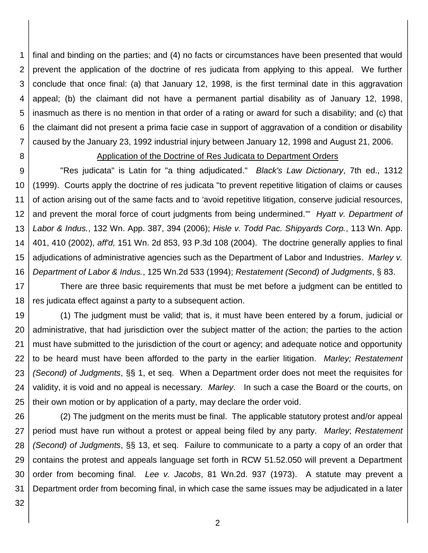1 2 3 4 5 6 7 final and binding on the parties; and (4) no facts or circumstances have been presented that would prevent the application of the doctrine of res judicata from applying to this appeal. We further conclude that once final: (a) that January 12, 1998, is the first terminal date in this aggravation appeal; (b) the claimant did not have a permanent partial disability as of January 12, 1998, inasmuch as there is no mention in that order of a rating or award for such a disability; and (c) that the claimant did not present a prima facie case in support of aggravation of a condition or disability caused by the January 23, 1992 industrial injury between January 12, 1998 and August 21, 2006.

8

### Application of the Doctrine of Res Judicata to Department Orders

9 10 11 12 13 14 15 16 "Res judicata" is Latin for "a thing adjudicated." *Black's Law Dictionary*, 7th ed., 1312 (1999). Courts apply the doctrine of res judicata "to prevent repetitive litigation of claims or causes of action arising out of the same facts and to 'avoid repetitive litigation, conserve judicial resources, and prevent the moral force of court judgments from being undermined.'" *Hyatt v. Department of Labor & Indus.*, 132 Wn. App. 387, 394 (2006); *Hisle v. Todd Pac. Shipyards Corp.*, 113 Wn. App. 401, 410 (2002), *aff'd,* 151 Wn. 2d 853, 93 P.3d 108 (2004). The doctrine generally applies to final adjudications of administrative agencies such as the Department of Labor and Industries. *Marley v. Department of Labor & Indus.*, 125 Wn.2d 533 (1994); *Restatement (Second) of Judgments*, § 83.

17 18 There are three basic requirements that must be met before a judgment can be entitled to res judicata effect against a party to a subsequent action.

19 20 21 22 23 24 25 (1) The judgment must be valid; that is, it must have been entered by a forum, judicial or administrative, that had jurisdiction over the subject matter of the action; the parties to the action must have submitted to the jurisdiction of the court or agency; and adequate notice and opportunity to be heard must have been afforded to the party in the earlier litigation. *Marley; Restatement (Second) of Judgments*, §§ 1, et seq. When a Department order does not meet the requisites for validity, it is void and no appeal is necessary. *Marley*. In such a case the Board or the courts, on their own motion or by application of a party, may declare the order void.

26 27 28 29 30 31 (2) The judgment on the merits must be final. The applicable statutory protest and/or appeal period must have run without a protest or appeal being filed by any party. *Marley*; *Restatement (Second) of Judgments*, §§ 13, et seq. Failure to communicate to a party a copy of an order that contains the protest and appeals language set forth in RCW 51.52.050 will prevent a Department order from becoming final. *Lee v. Jacobs*, 81 Wn.2d. 937 (1973). A statute may prevent a Department order from becoming final, in which case the same issues may be adjudicated in a later

32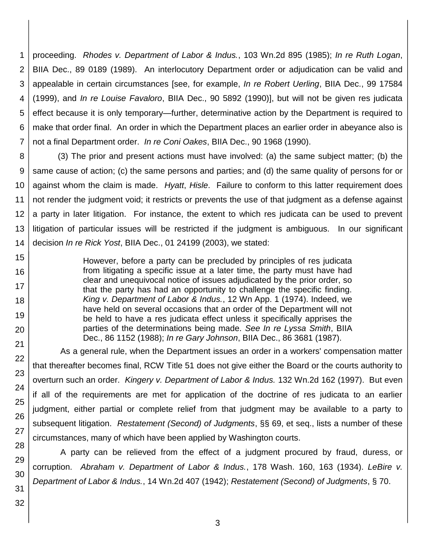1 2 3 4 5 6 7 proceeding. *Rhodes v. Department of Labor & Indus.*, 103 Wn.2d 895 (1985); *In re Ruth Logan*, BIIA Dec., 89 0189 (1989). An interlocutory Department order or adjudication can be valid and appealable in certain circumstances [see, for example, *In re Robert Uerling*, BIIA Dec., 99 17584 (1999), and *In re Louise Favaloro*, BIIA Dec., 90 5892 (1990)], but will not be given res judicata effect because it is only temporary—further, determinative action by the Department is required to make that order final. An order in which the Department places an earlier order in abeyance also is not a final Department order. *In re Coni Oakes*, BIIA Dec., 90 1968 (1990).

8 9 10 11 12 (3) The prior and present actions must have involved: (a) the same subject matter; (b) the same cause of action; (c) the same persons and parties; and (d) the same quality of persons for or against whom the claim is made. *Hyatt*, *Hisle*. Failure to conform to this latter requirement does not render the judgment void; it restricts or prevents the use of that judgment as a defense against a party in later litigation. For instance, the extent to which res judicata can be used to prevent litigation of particular issues will be restricted if the judgment is ambiguous. In our significant decision *In re Rick Yost*, BIIA Dec., 01 24199 (2003), we stated:

> However, before a party can be precluded by principles of res judicata from litigating a specific issue at a later time, the party must have had clear and unequivocal notice of issues adjudicated by the prior order, so that the party has had an opportunity to challenge the specific finding. *King v. Department of Labor & Indus.*, 12 Wn App. 1 (1974). Indeed, we have held on several occasions that an order of the Department will not be held to have a res judicata effect unless it specifically apprises the parties of the determinations being made. *See In re Lyssa Smith*, BIIA Dec., 86 1152 (1988); *In re Gary Johnson*, BIIA Dec., 86 3681 (1987).

As a general rule, when the Department issues an order in a workers' compensation matter that thereafter becomes final, RCW Title 51 does not give either the Board or the courts authority to overturn such an order. *Kingery v. Department of Labor & Indus.* 132 Wn.2d 162 (1997). But even if all of the requirements are met for application of the doctrine of res judicata to an earlier judgment, either partial or complete relief from that judgment may be available to a party to subsequent litigation. *Restatement (Second) of Judgments*, §§ 69, et seq., lists a number of these circumstances, many of which have been applied by Washington courts.

A party can be relieved from the effect of a judgment procured by fraud, duress, or corruption. *Abraham v. Department of Labor & Indus.*, 178 Wash. 160, 163 (1934). *LeBire v. Department of Labor & Indus.*, 14 Wn.2d 407 (1942); *Restatement (Second) of Judgments*, § 70.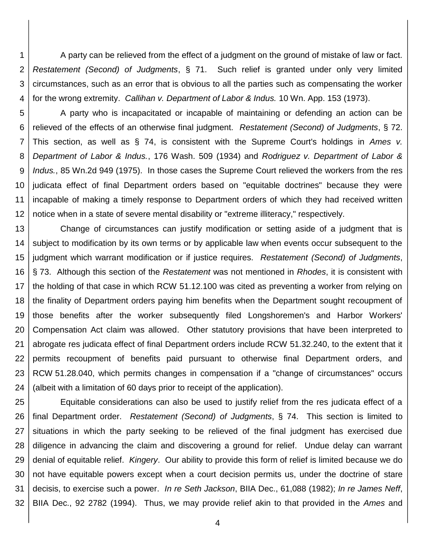1 2 3 4 A party can be relieved from the effect of a judgment on the ground of mistake of law or fact. *Restatement (Second) of Judgments*, § 71. Such relief is granted under only very limited circumstances, such as an error that is obvious to all the parties such as compensating the worker for the wrong extremity. *Callihan v. Department of Labor & Indus.* 10 Wn. App. 153 (1973).

5 6 7 8 9 10 11 12 A party who is incapacitated or incapable of maintaining or defending an action can be relieved of the effects of an otherwise final judgment. *Restatement (Second) of Judgments*, § 72. This section, as well as § 74, is consistent with the Supreme Court's holdings in *Ames v. Department of Labor & Indus.*, 176 Wash. 509 (1934) and *Rodriguez v. Department of Labor & Indus.*, 85 Wn.2d 949 (1975). In those cases the Supreme Court relieved the workers from the res judicata effect of final Department orders based on "equitable doctrines" because they were incapable of making a timely response to Department orders of which they had received written notice when in a state of severe mental disability or "extreme illiteracy," respectively.

13 14 15 16 17 18 19 20 21 22 23 24 Change of circumstances can justify modification or setting aside of a judgment that is subject to modification by its own terms or by applicable law when events occur subsequent to the judgment which warrant modification or if justice requires. *Restatement (Second) of Judgments*, § 73. Although this section of the *Restatement* was not mentioned in *Rhodes*, it is consistent with the holding of that case in which RCW 51.12.100 was cited as preventing a worker from relying on the finality of Department orders paying him benefits when the Department sought recoupment of those benefits after the worker subsequently filed Longshoremen's and Harbor Workers' Compensation Act claim was allowed. Other statutory provisions that have been interpreted to abrogate res judicata effect of final Department orders include RCW 51.32.240, to the extent that it permits recoupment of benefits paid pursuant to otherwise final Department orders, and RCW 51.28.040, which permits changes in compensation if a "change of circumstances" occurs (albeit with a limitation of 60 days prior to receipt of the application).

25 26 27 28 29 30 31 32 Equitable considerations can also be used to justify relief from the res judicata effect of a final Department order. *Restatement (Second) of Judgments*, § 74. This section is limited to situations in which the party seeking to be relieved of the final judgment has exercised due diligence in advancing the claim and discovering a ground for relief. Undue delay can warrant denial of equitable relief. *Kingery*. Our ability to provide this form of relief is limited because we do not have equitable powers except when a court decision permits us, under the doctrine of stare decisis, to exercise such a power. *In re Seth Jackson*, BIIA Dec., 61,088 (1982); *In re James Neff*, BIIA Dec., 92 2782 (1994). Thus, we may provide relief akin to that provided in the *Ames* and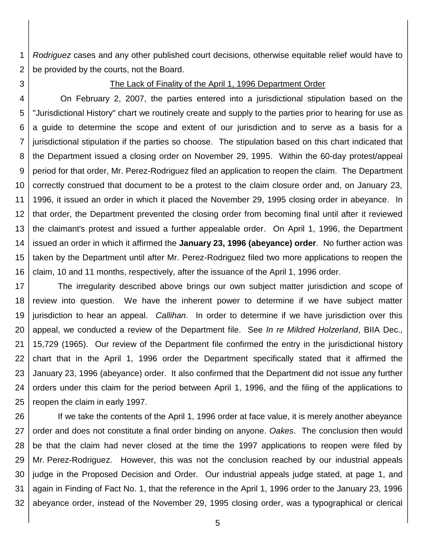1 2 *Rodriguez* cases and any other published court decisions, otherwise equitable relief would have to be provided by the courts, not the Board.

3

#### The Lack of Finality of the April 1, 1996 Department Order

4 5 6 7 8 9 10 11 12 13 14 15 16 On February 2, 2007, the parties entered into a jurisdictional stipulation based on the "Jurisdictional History" chart we routinely create and supply to the parties prior to hearing for use as a guide to determine the scope and extent of our jurisdiction and to serve as a basis for a jurisdictional stipulation if the parties so choose. The stipulation based on this chart indicated that the Department issued a closing order on November 29, 1995. Within the 60-day protest/appeal period for that order, Mr. Perez-Rodriguez filed an application to reopen the claim. The Department correctly construed that document to be a protest to the claim closure order and, on January 23, 1996, it issued an order in which it placed the November 29, 1995 closing order in abeyance. In that order, the Department prevented the closing order from becoming final until after it reviewed the claimant's protest and issued a further appealable order. On April 1, 1996, the Department issued an order in which it affirmed the **January 23, 1996 (abeyance) order**. No further action was taken by the Department until after Mr. Perez-Rodriguez filed two more applications to reopen the claim, 10 and 11 months, respectively, after the issuance of the April 1, 1996 order.

17 18 19 20 21 22 23 24 25 The irregularity described above brings our own subject matter jurisdiction and scope of review into question. We have the inherent power to determine if we have subject matter jurisdiction to hear an appeal. *Callihan*. In order to determine if we have jurisdiction over this appeal, we conducted a review of the Department file. See *In re Mildred Holzerland*, BIIA Dec., 15,729 (1965). Our review of the Department file confirmed the entry in the jurisdictional history chart that in the April 1, 1996 order the Department specifically stated that it affirmed the January 23, 1996 (abeyance) order. It also confirmed that the Department did not issue any further orders under this claim for the period between April 1, 1996, and the filing of the applications to reopen the claim in early 1997.

26 27 28 29 30 31 32 If we take the contents of the April 1, 1996 order at face value, it is merely another abeyance order and does not constitute a final order binding on anyone. *Oakes*. The conclusion then would be that the claim had never closed at the time the 1997 applications to reopen were filed by Mr. Perez-Rodriguez. However, this was not the conclusion reached by our industrial appeals judge in the Proposed Decision and Order. Our industrial appeals judge stated, at page 1, and again in Finding of Fact No. 1, that the reference in the April 1, 1996 order to the January 23, 1996 abeyance order, instead of the November 29, 1995 closing order, was a typographical or clerical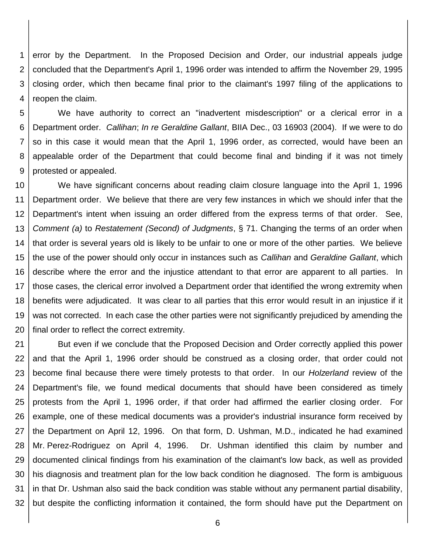1 2 3 4 error by the Department. In the Proposed Decision and Order, our industrial appeals judge concluded that the Department's April 1, 1996 order was intended to affirm the November 29, 1995 closing order, which then became final prior to the claimant's 1997 filing of the applications to reopen the claim.

5 6 7 8 9 We have authority to correct an "inadvertent misdescription" or a clerical error in a Department order. *Callihan*; *In re Geraldine Gallant*, BIIA Dec., 03 16903 (2004). If we were to do so in this case it would mean that the April 1, 1996 order, as corrected, would have been an appealable order of the Department that could become final and binding if it was not timely protested or appealed.

10 11 12 13 14 15 16 17 18 19 20 We have significant concerns about reading claim closure language into the April 1, 1996 Department order. We believe that there are very few instances in which we should infer that the Department's intent when issuing an order differed from the express terms of that order. See, *Comment (a)* to *Restatement (Second) of Judgments*, § 71. Changing the terms of an order when that order is several years old is likely to be unfair to one or more of the other parties. We believe the use of the power should only occur in instances such as *Callihan* and *Geraldine Gallant*, which describe where the error and the injustice attendant to that error are apparent to all parties. In those cases, the clerical error involved a Department order that identified the wrong extremity when benefits were adjudicated. It was clear to all parties that this error would result in an injustice if it was not corrected. In each case the other parties were not significantly prejudiced by amending the final order to reflect the correct extremity.

21 22 23 24 25 26 27 28 29 30 31 32 But even if we conclude that the Proposed Decision and Order correctly applied this power and that the April 1, 1996 order should be construed as a closing order, that order could not become final because there were timely protests to that order. In our *Holzerland* review of the Department's file, we found medical documents that should have been considered as timely protests from the April 1, 1996 order, if that order had affirmed the earlier closing order. For example, one of these medical documents was a provider's industrial insurance form received by the Department on April 12, 1996. On that form, D. Ushman, M.D., indicated he had examined Mr. Perez-Rodriguez on April 4, 1996. Dr. Ushman identified this claim by number and documented clinical findings from his examination of the claimant's low back, as well as provided his diagnosis and treatment plan for the low back condition he diagnosed. The form is ambiguous in that Dr. Ushman also said the back condition was stable without any permanent partial disability, but despite the conflicting information it contained, the form should have put the Department on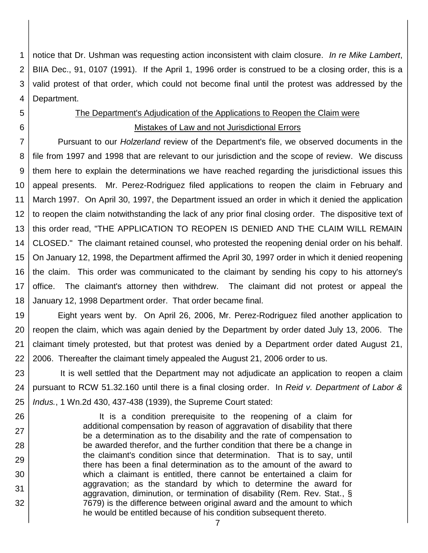1 2 3 4 notice that Dr. Ushman was requesting action inconsistent with claim closure. *In re Mike Lambert*, BIIA Dec., 91, 0107 (1991). If the April 1, 1996 order is construed to be a closing order, this is a valid protest of that order, which could not become final until the protest was addressed by the Department.

# 5 6

26

27

28

29

30

31

32

# The Department's Adjudication of the Applications to Reopen the Claim were Mistakes of Law and not Jurisdictional Errors

7 8 9 10 11 12 13 14 15 16 17 18 Pursuant to our *Holzerland* review of the Department's file, we observed documents in the file from 1997 and 1998 that are relevant to our jurisdiction and the scope of review. We discuss them here to explain the determinations we have reached regarding the jurisdictional issues this appeal presents. Mr. Perez-Rodriguez filed applications to reopen the claim in February and March 1997. On April 30, 1997, the Department issued an order in which it denied the application to reopen the claim notwithstanding the lack of any prior final closing order. The dispositive text of this order read, "THE APPLICATION TO REOPEN IS DENIED AND THE CLAIM WILL REMAIN CLOSED." The claimant retained counsel, who protested the reopening denial order on his behalf. On January 12, 1998, the Department affirmed the April 30, 1997 order in which it denied reopening the claim. This order was communicated to the claimant by sending his copy to his attorney's office. The claimant's attorney then withdrew. The claimant did not protest or appeal the January 12, 1998 Department order. That order became final.

19 20 21 22 Eight years went by. On April 26, 2006, Mr. Perez-Rodriguez filed another application to reopen the claim, which was again denied by the Department by order dated July 13, 2006. The claimant timely protested, but that protest was denied by a Department order dated August 21, 2006. Thereafter the claimant timely appealed the August 21, 2006 order to us.

23 24 25 It is well settled that the Department may not adjudicate an application to reopen a claim pursuant to RCW 51.32.160 until there is a final closing order. In *Reid v. Department of Labor & Indus.*, 1 Wn.2d 430, 437-438 (1939), the Supreme Court stated:

> It is a condition prerequisite to the reopening of a claim for additional compensation by reason of aggravation of disability that there be a determination as to the disability and the rate of compensation to be awarded therefor, and the further condition that there be a change in the claimant's condition since that determination. That is to say, until there has been a final determination as to the amount of the award to which a claimant is entitled, there cannot be entertained a claim for aggravation; as the standard by which to determine the award for aggravation, diminution, or termination of disability (Rem. Rev. Stat., § 7679) is the difference between original award and the amount to which he would be entitled because of his condition subsequent thereto.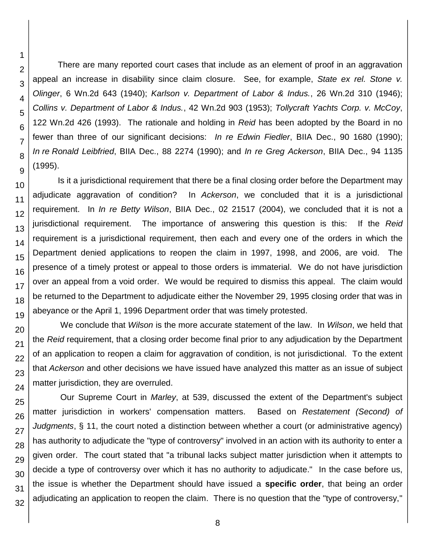There are many reported court cases that include as an element of proof in an aggravation appeal an increase in disability since claim closure. See, for example, *State ex rel. Stone v. Olinger*, 6 Wn.2d 643 (1940); *Karlson v. Department of Labor & Indus.*, 26 Wn.2d 310 (1946); *Collins v. Department of Labor & Indus.*, 42 Wn.2d 903 (1953); *Tollycraft Yachts Corp. v. McCoy*, 122 Wn.2d 426 (1993). The rationale and holding in *Reid* has been adopted by the Board in no fewer than three of our significant decisions: *In re Edwin Fiedler*, BIIA Dec., 90 1680 (1990); *In re Ronald Leibfried*, BIIA Dec., 88 2274 (1990); and *In re Greg Ackerson*, BIIA Dec., 94 1135 (1995).

Is it a jurisdictional requirement that there be a final closing order before the Department may adjudicate aggravation of condition? In *Ackerson*, we concluded that it is a jurisdictional requirement. In *In re Betty Wilson*, BIIA Dec., 02 21517 (2004), we concluded that it is not a jurisdictional requirement. The importance of answering this question is this: If the *Reid* requirement is a jurisdictional requirement, then each and every one of the orders in which the Department denied applications to reopen the claim in 1997, 1998, and 2006, are void. The presence of a timely protest or appeal to those orders is immaterial. We do not have jurisdiction over an appeal from a void order. We would be required to dismiss this appeal. The claim would be returned to the Department to adjudicate either the November 29, 1995 closing order that was in abeyance or the April 1, 1996 Department order that was timely protested.

We conclude that *Wilson* is the more accurate statement of the law. In *Wilson*, we held that the *Reid* requirement, that a closing order become final prior to any adjudication by the Department of an application to reopen a claim for aggravation of condition, is not jurisdictional. To the extent that *Ackerson* and other decisions we have issued have analyzed this matter as an issue of subject matter jurisdiction, they are overruled.

Our Supreme Court in *Marley*, at 539, discussed the extent of the Department's subject matter jurisdiction in workers' compensation matters. Based on *Restatement (Second) of Judgments*, § 11, the court noted a distinction between whether a court (or administrative agency) has authority to adjudicate the "type of controversy" involved in an action with its authority to enter a given order. The court stated that "a tribunal lacks subject matter jurisdiction when it attempts to decide a type of controversy over which it has no authority to adjudicate." In the case before us, the issue is whether the Department should have issued a **specific order**, that being an order adjudicating an application to reopen the claim. There is no question that the "type of controversy,"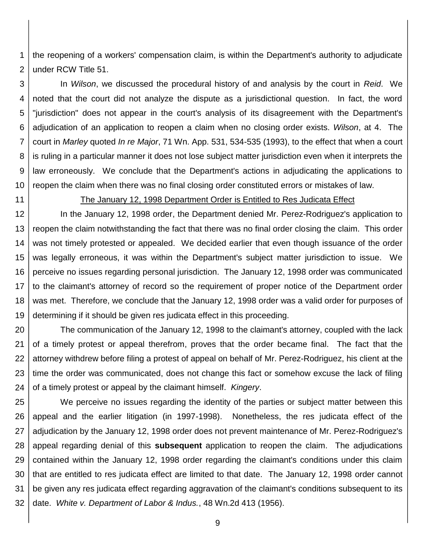1 2 the reopening of a workers' compensation claim, is within the Department's authority to adjudicate under RCW Title 51.

3 4 5 6 7 8 9 10 In *Wilson*, we discussed the procedural history of and analysis by the court in *Reid*. We noted that the court did not analyze the dispute as a jurisdictional question. In fact, the word "jurisdiction" does not appear in the court's analysis of its disagreement with the Department's adjudication of an application to reopen a claim when no closing order exists. *Wilson*, at 4. The court in *Marley* quoted *In re Major*, 71 Wn. App. 531, 534-535 (1993), to the effect that when a court is ruling in a particular manner it does not lose subject matter jurisdiction even when it interprets the law erroneously. We conclude that the Department's actions in adjudicating the applications to reopen the claim when there was no final closing order constituted errors or mistakes of law.

11

## The January 12, 1998 Department Order is Entitled to Res Judicata Effect

12 13 14 15 16 17 18 19 In the January 12, 1998 order, the Department denied Mr. Perez-Rodriguez's application to reopen the claim notwithstanding the fact that there was no final order closing the claim. This order was not timely protested or appealed. We decided earlier that even though issuance of the order was legally erroneous, it was within the Department's subject matter jurisdiction to issue. We perceive no issues regarding personal jurisdiction. The January 12, 1998 order was communicated to the claimant's attorney of record so the requirement of proper notice of the Department order was met. Therefore, we conclude that the January 12, 1998 order was a valid order for purposes of determining if it should be given res judicata effect in this proceeding.

20 21 22 23 24 The communication of the January 12, 1998 to the claimant's attorney, coupled with the lack of a timely protest or appeal therefrom, proves that the order became final. The fact that the attorney withdrew before filing a protest of appeal on behalf of Mr. Perez-Rodriguez, his client at the time the order was communicated, does not change this fact or somehow excuse the lack of filing of a timely protest or appeal by the claimant himself. *Kingery*.

25 26 27 28 29 30 31 32 We perceive no issues regarding the identity of the parties or subject matter between this appeal and the earlier litigation (in 1997-1998). Nonetheless, the res judicata effect of the adjudication by the January 12, 1998 order does not prevent maintenance of Mr. Perez-Rodriguez's appeal regarding denial of this **subsequent** application to reopen the claim. The adjudications contained within the January 12, 1998 order regarding the claimant's conditions under this claim that are entitled to res judicata effect are limited to that date. The January 12, 1998 order cannot be given any res judicata effect regarding aggravation of the claimant's conditions subsequent to its date. *White v. Department of Labor & Indus.*, 48 Wn.2d 413 (1956).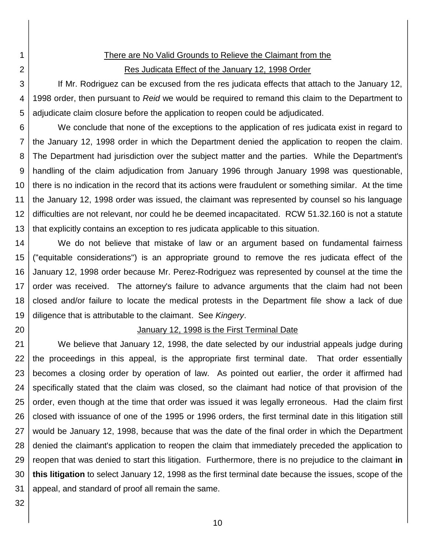2

1

# There are No Valid Grounds to Relieve the Claimant from the Res Judicata Effect of the January 12, 1998 Order

3 4 5 If Mr. Rodriguez can be excused from the res judicata effects that attach to the January 12, 1998 order, then pursuant to *Reid* we would be required to remand this claim to the Department to adjudicate claim closure before the application to reopen could be adjudicated.

6 7 8 9 10 11 12 13 We conclude that none of the exceptions to the application of res judicata exist in regard to the January 12, 1998 order in which the Department denied the application to reopen the claim. The Department had jurisdiction over the subject matter and the parties. While the Department's handling of the claim adjudication from January 1996 through January 1998 was questionable, there is no indication in the record that its actions were fraudulent or something similar. At the time the January 12, 1998 order was issued, the claimant was represented by counsel so his language difficulties are not relevant, nor could he be deemed incapacitated. RCW 51.32.160 is not a statute that explicitly contains an exception to res judicata applicable to this situation.

14 15 16 17 18 19 We do not believe that mistake of law or an argument based on fundamental fairness ("equitable considerations") is an appropriate ground to remove the res judicata effect of the January 12, 1998 order because Mr. Perez-Rodriguez was represented by counsel at the time the order was received. The attorney's failure to advance arguments that the claim had not been closed and/or failure to locate the medical protests in the Department file show a lack of due diligence that is attributable to the claimant. See *Kingery*.

20

# January 12, 1998 is the First Terminal Date

21 22 23 24 25 26 27 28 29 30 31 We believe that January 12, 1998, the date selected by our industrial appeals judge during the proceedings in this appeal, is the appropriate first terminal date. That order essentially becomes a closing order by operation of law. As pointed out earlier, the order it affirmed had specifically stated that the claim was closed, so the claimant had notice of that provision of the order, even though at the time that order was issued it was legally erroneous. Had the claim first closed with issuance of one of the 1995 or 1996 orders, the first terminal date in this litigation still would be January 12, 1998, because that was the date of the final order in which the Department denied the claimant's application to reopen the claim that immediately preceded the application to reopen that was denied to start this litigation. Furthermore, there is no prejudice to the claimant **in this litigation** to select January 12, 1998 as the first terminal date because the issues, scope of the appeal, and standard of proof all remain the same.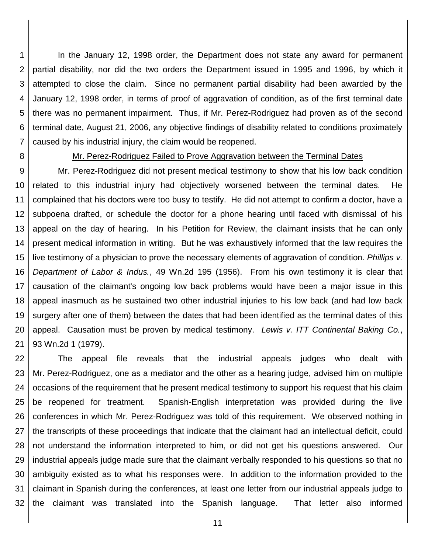1 2 3 4 5 6 7 In the January 12, 1998 order, the Department does not state any award for permanent partial disability, nor did the two orders the Department issued in 1995 and 1996, by which it attempted to close the claim. Since no permanent partial disability had been awarded by the January 12, 1998 order, in terms of proof of aggravation of condition, as of the first terminal date there was no permanent impairment. Thus, if Mr. Perez-Rodriguez had proven as of the second terminal date, August 21, 2006, any objective findings of disability related to conditions proximately caused by his industrial injury, the claim would be reopened.

8

#### Mr. Perez-Rodriguez Failed to Prove Aggravation between the Terminal Dates

9 10 11 12 13 14 15 16 17 18 19 20 21 Mr. Perez-Rodriguez did not present medical testimony to show that his low back condition related to this industrial injury had objectively worsened between the terminal dates. He complained that his doctors were too busy to testify. He did not attempt to confirm a doctor, have a subpoena drafted, or schedule the doctor for a phone hearing until faced with dismissal of his appeal on the day of hearing. In his Petition for Review, the claimant insists that he can only present medical information in writing. But he was exhaustively informed that the law requires the live testimony of a physician to prove the necessary elements of aggravation of condition. *Phillips v. Department of Labor & Indus.*, 49 Wn.2d 195 (1956). From his own testimony it is clear that causation of the claimant's ongoing low back problems would have been a major issue in this appeal inasmuch as he sustained two other industrial injuries to his low back (and had low back surgery after one of them) between the dates that had been identified as the terminal dates of this appeal. Causation must be proven by medical testimony. *Lewis v. ITT Continental Baking Co.*, 93 Wn.2d 1 (1979).

22 23 24 25 26 27 28 29 30 31 32 The appeal file reveals that the industrial appeals judges who dealt with Mr. Perez-Rodriguez, one as a mediator and the other as a hearing judge, advised him on multiple occasions of the requirement that he present medical testimony to support his request that his claim be reopened for treatment. Spanish-English interpretation was provided during the live conferences in which Mr. Perez-Rodriguez was told of this requirement. We observed nothing in the transcripts of these proceedings that indicate that the claimant had an intellectual deficit, could not understand the information interpreted to him, or did not get his questions answered. Our industrial appeals judge made sure that the claimant verbally responded to his questions so that no ambiguity existed as to what his responses were. In addition to the information provided to the claimant in Spanish during the conferences, at least one letter from our industrial appeals judge to the claimant was translated into the Spanish language. That letter also informed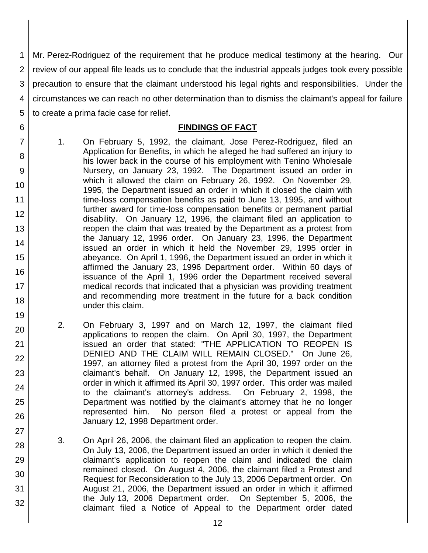1 2 3 4 5 Mr. Perez-Rodriguez of the requirement that he produce medical testimony at the hearing. Our review of our appeal file leads us to conclude that the industrial appeals judges took every possible precaution to ensure that the claimant understood his legal rights and responsibilities. Under the circumstances we can reach no other determination than to dismiss the claimant's appeal for failure to create a prima facie case for relief.

## **FINDINGS OF FACT**

1. On February 5, 1992, the claimant, Jose Perez-Rodriguez, filed an Application for Benefits, in which he alleged he had suffered an injury to his lower back in the course of his employment with Tenino Wholesale Nursery, on January 23, 1992. The Department issued an order in which it allowed the claim on February 26, 1992. On November 29, 1995, the Department issued an order in which it closed the claim with time-loss compensation benefits as paid to June 13, 1995, and without further award for time-loss compensation benefits or permanent partial disability. On January 12, 1996, the claimant filed an application to reopen the claim that was treated by the Department as a protest from the January 12, 1996 order. On January 23, 1996, the Department issued an order in which it held the November 29, 1995 order in abeyance. On April 1, 1996, the Department issued an order in which it affirmed the January 23, 1996 Department order. Within 60 days of issuance of the April 1, 1996 order the Department received several medical records that indicated that a physician was providing treatment and recommending more treatment in the future for a back condition under this claim.

6

7

8

9

10

11 12

13

14

15

16

17 18

19

20

21

22

23

24

25

26

27

28

29

30

31

- 2. On February 3, 1997 and on March 12, 1997, the claimant filed applications to reopen the claim. On April 30, 1997, the Department issued an order that stated: "THE APPLICATION TO REOPEN IS DENIED AND THE CLAIM WILL REMAIN CLOSED." On June 26, 1997, an attorney filed a protest from the April 30, 1997 order on the claimant's behalf. On January 12, 1998, the Department issued an order in which it affirmed its April 30, 1997 order. This order was mailed to the claimant's attorney's address. On February 2, 1998, the Department was notified by the claimant's attorney that he no longer represented him. No person filed a protest or appeal from the January 12, 1998 Department order.
- 3. On April 26, 2006, the claimant filed an application to reopen the claim. On July 13, 2006, the Department issued an order in which it denied the claimant's application to reopen the claim and indicated the claim remained closed. On August 4, 2006, the claimant filed a Protest and Request for Reconsideration to the July 13, 2006 Department order. On August 21, 2006, the Department issued an order in which it affirmed the July 13, 2006 Department order. On September 5, 2006, the claimant filed a Notice of Appeal to the Department order dated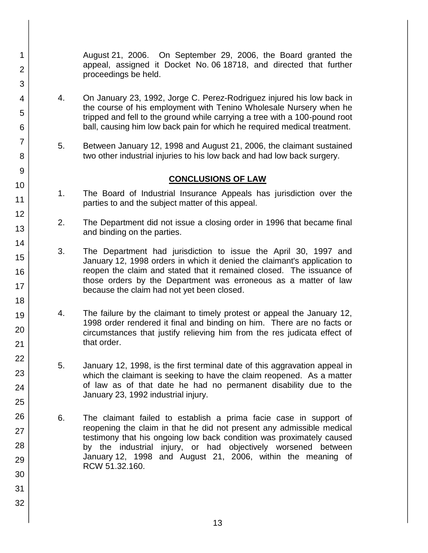August 21, 2006. On September 29, 2006, the Board granted the appeal, assigned it Docket No. 06 18718, and directed that further proceedings be held.

- 4. On January 23, 1992, Jorge C. Perez-Rodriguez injured his low back in the course of his employment with Tenino Wholesale Nursery when he tripped and fell to the ground while carrying a tree with a 100-pound root ball, causing him low back pain for which he required medical treatment.
- 5. Between January 12, 1998 and August 21, 2006, the claimant sustained two other industrial injuries to his low back and had low back surgery.

## **CONCLUSIONS OF LAW**

- 1. The Board of Industrial Insurance Appeals has jurisdiction over the parties to and the subject matter of this appeal.
- 2. The Department did not issue a closing order in 1996 that became final and binding on the parties.
- 3. The Department had jurisdiction to issue the April 30, 1997 and January 12, 1998 orders in which it denied the claimant's application to reopen the claim and stated that it remained closed. The issuance of those orders by the Department was erroneous as a matter of law because the claim had not yet been closed.
- 4. The failure by the claimant to timely protest or appeal the January 12, 1998 order rendered it final and binding on him. There are no facts or circumstances that justify relieving him from the res judicata effect of that order.
- 5. January 12, 1998, is the first terminal date of this aggravation appeal in which the claimant is seeking to have the claim reopened. As a matter of law as of that date he had no permanent disability due to the January 23, 1992 industrial injury.
- 6. The claimant failed to establish a prima facie case in support of reopening the claim in that he did not present any admissible medical testimony that his ongoing low back condition was proximately caused by the industrial injury, or had objectively worsened between January 12, 1998 and August 21, 2006, within the meaning of RCW 51.32.160.
- 1 2 3 4 5 6 7 8 9 10 11 12 13 14 15 16 17 18 19 20 21 22 23 24 25 26 27 28 29 30 31 32